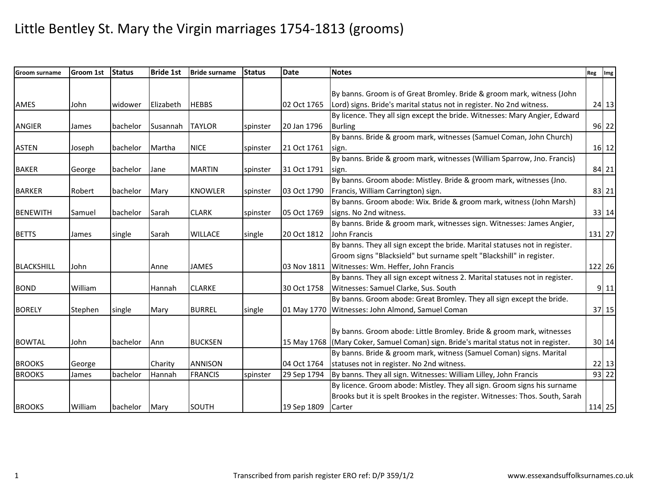| <b>Groom surname</b> | Groom 1st | <b>Status</b> | <b>Bride 1st</b> | <b>Bride surname</b> | <b>Status</b> | <b>Date</b> | <b>Notes</b>                                                                         | Reg Img |           |
|----------------------|-----------|---------------|------------------|----------------------|---------------|-------------|--------------------------------------------------------------------------------------|---------|-----------|
|                      |           |               |                  |                      |               |             |                                                                                      |         |           |
|                      |           |               |                  |                      |               |             | By banns. Groom is of Great Bromley. Bride & groom mark, witness (John               |         |           |
| AMES                 | John      | widower       | Elizabeth        | <b>HEBBS</b>         |               | 02 Oct 1765 | Lord) signs. Bride's marital status not in register. No 2nd witness.                 |         | 24 13     |
|                      |           |               |                  |                      |               |             | By licence. They all sign except the bride. Witnesses: Mary Angier, Edward           |         |           |
| ANGIER               | James     | bachelor      | Susannah         | <b>TAYLOR</b>        | spinster      | 20 Jan 1796 | <b>Burling</b>                                                                       |         | $96$   22 |
|                      |           |               |                  |                      |               |             | By banns. Bride & groom mark, witnesses (Samuel Coman, John Church)                  |         |           |
| <b>ASTEN</b>         | Joseph    | bachelor      | Martha           | <b>NICE</b>          | spinster      | 21 Oct 1761 | sign.                                                                                |         | 16 12     |
|                      |           |               |                  |                      |               |             | By banns. Bride & groom mark, witnesses (William Sparrow, Jno. Francis)              |         |           |
| <b>BAKER</b>         | George    | bachelor      | Jane             | <b>MARTIN</b>        | spinster      | 31 Oct 1791 | sign.                                                                                |         | 84 21     |
|                      |           |               |                  |                      |               |             | By banns. Groom abode: Mistley. Bride & groom mark, witnesses (Jno.                  |         |           |
| <b>BARKER</b>        | Robert    | bachelor      | Mary             | <b>KNOWLER</b>       | spinster      | 03 Oct 1790 | Francis, William Carrington) sign.                                                   |         | 83 21     |
|                      |           |               |                  |                      |               |             | By banns. Groom abode: Wix. Bride & groom mark, witness (John Marsh)                 |         |           |
| <b>BENEWITH</b>      | Samuel    | bachelor      | Sarah            | <b>CLARK</b>         | spinster      | 05 Oct 1769 | signs. No 2nd witness.                                                               |         | 33 14     |
|                      |           |               |                  |                      |               |             | By banns. Bride & groom mark, witnesses sign. Witnesses: James Angier,               |         |           |
| <b>BETTS</b>         | James     | single        | Sarah            | <b>WILLACE</b>       | single        | 20 Oct 1812 | John Francis                                                                         |         | 131 27    |
|                      |           |               |                  |                      |               |             | By banns. They all sign except the bride. Marital statuses not in register.          |         |           |
|                      |           |               |                  |                      |               |             | Groom signs "Blacksield" but surname spelt "Blackshill" in register.                 |         |           |
| <b>BLACKSHILL</b>    | John      |               | Anne             | <b>JAMES</b>         |               | 03 Nov 1811 | Witnesses: Wm. Heffer, John Francis                                                  |         | 122 26    |
|                      |           |               |                  |                      |               |             | By banns. They all sign except witness 2. Marital statuses not in register.          |         |           |
| <b>BOND</b>          | William   |               | Hannah           | <b>CLARKE</b>        |               | 30 Oct 1758 | Witnesses: Samuel Clarke, Sus. South                                                 |         | $9$ 11    |
|                      |           |               |                  |                      |               |             | By banns. Groom abode: Great Bromley. They all sign except the bride.                |         |           |
| <b>BORELY</b>        | Stephen   | single        | Mary             | <b>BURREL</b>        | single        |             | 01 May 1770 Witnesses: John Almond, Samuel Coman                                     |         | 37 15     |
|                      |           |               |                  |                      |               |             |                                                                                      |         |           |
|                      |           |               |                  |                      |               |             | By banns. Groom abode: Little Bromley. Bride & groom mark, witnesses                 |         |           |
| <b>BOWTAL</b>        | John      | bachelor      | Ann              | <b>BUCKSEN</b>       |               |             | 15 May 1768 (Mary Coker, Samuel Coman) sign. Bride's marital status not in register. |         | 30 14     |
|                      |           |               |                  |                      |               |             | By banns. Bride & groom mark, witness (Samuel Coman) signs. Marital                  |         |           |
| <b>BROOKS</b>        | George    |               | Charity          | <b>ANNISON</b>       |               | 04 Oct 1764 | statuses not in register. No 2nd witness.                                            |         | $22$ 13   |
| <b>BROOKS</b>        | James     | bachelor      | Hannah           | <b>FRANCIS</b>       | spinster      | 29 Sep 1794 | By banns. They all sign. Witnesses: William Lilley, John Francis                     |         | 93 22     |
|                      |           |               |                  |                      |               |             | By licence. Groom abode: Mistley. They all sign. Groom signs his surname             |         |           |
|                      |           |               |                  |                      |               |             | Brooks but it is spelt Brookes in the register. Witnesses: Thos. South, Sarah        |         |           |
| <b>BROOKS</b>        | William   | bachelor      | Mary             | SOUTH                |               | 19 Sep 1809 | Carter                                                                               |         | 114 25    |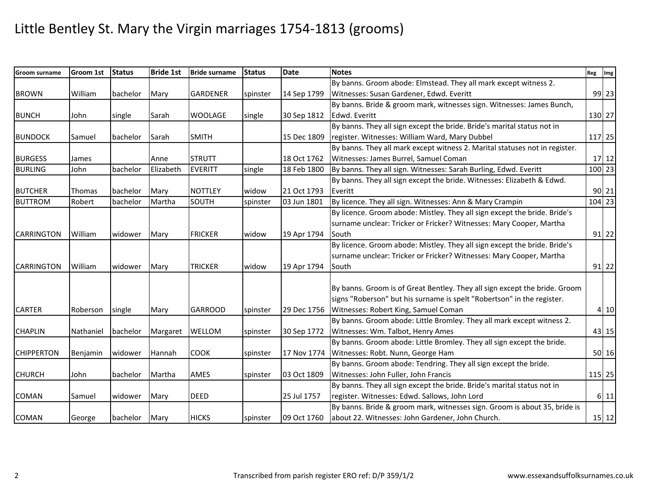| <b>Groom surname</b> | <b>Groom 1st</b> | <b>Status</b> | <b>Bride 1st</b> | <b>Bride surname</b> | <b>Status</b> | <b>Date</b> | <b>Notes</b>                                                                | Reg Img |         |
|----------------------|------------------|---------------|------------------|----------------------|---------------|-------------|-----------------------------------------------------------------------------|---------|---------|
|                      |                  |               |                  |                      |               |             | By banns. Groom abode: Elmstead. They all mark except witness 2.            |         |         |
| <b>BROWN</b>         | William          | bachelor      | Mary             | <b>GARDENER</b>      | spinster      | 14 Sep 1799 | Witnesses: Susan Gardener, Edwd. Everitt                                    |         | 99 23   |
|                      |                  |               |                  |                      |               |             | By banns. Bride & groom mark, witnesses sign. Witnesses: James Bunch,       |         |         |
| <b>BUNCH</b>         | John             | single        | Sarah            | <b>WOOLAGE</b>       | single        | 30 Sep 1812 | Edwd. Everitt                                                               |         | 130 27  |
|                      |                  |               |                  |                      |               |             | By banns. They all sign except the bride. Bride's marital status not in     |         |         |
| <b>BUNDOCK</b>       | Samuel           | bachelor      | Sarah            | <b>SMITH</b>         |               | 15 Dec 1809 | register. Witnesses: William Ward, Mary Dubbel                              |         | 117 25  |
|                      |                  |               |                  |                      |               |             | By banns. They all mark except witness 2. Marital statuses not in register. |         |         |
| <b>BURGESS</b>       | James            |               | Anne             | <b>STRUTT</b>        |               | 18 Oct 1762 | Witnesses: James Burrel, Samuel Coman                                       |         | $17 12$ |
| <b>BURLING</b>       | John             | bachelor      | Elizabeth        | <b>EVERITT</b>       | single        | 18 Feb 1800 | By banns. They all sign. Witnesses: Sarah Burling, Edwd. Everitt            |         | 100 23  |
|                      |                  |               |                  |                      |               |             | By banns. They all sign except the bride. Witnesses: Elizabeth & Edwd.      |         |         |
| <b>BUTCHER</b>       | Thomas           | bachelor      | Mary             | <b>NOTTLEY</b>       | widow         | 21 Oct 1793 | Everitt                                                                     |         | $90$ 21 |
| <b>BUTTROM</b>       | Robert           | bachelor      | Martha           | SOUTH                | spinster      | 03 Jun 1801 | By licence. They all sign. Witnesses: Ann & Mary Crampin                    |         | 104 23  |
|                      |                  |               |                  |                      |               |             | By licence. Groom abode: Mistley. They all sign except the bride. Bride's   |         |         |
|                      |                  |               |                  |                      |               |             | surname unclear: Tricker or Fricker? Witnesses: Mary Cooper, Martha         |         |         |
| <b>CARRINGTON</b>    | William          | widower       | Mary             | <b>FRICKER</b>       | widow         | 19 Apr 1794 | South                                                                       |         | $91$ 22 |
|                      |                  |               |                  |                      |               |             | By licence. Groom abode: Mistley. They all sign except the bride. Bride's   |         |         |
|                      |                  |               |                  |                      |               |             | surname unclear: Tricker or Fricker? Witnesses: Mary Cooper, Martha         |         |         |
| <b>CARRINGTON</b>    | William          | widower       | Mary             | <b>TRICKER</b>       | widow         | 19 Apr 1794 | South                                                                       |         | 91 22   |
|                      |                  |               |                  |                      |               |             |                                                                             |         |         |
|                      |                  |               |                  |                      |               |             | By banns. Groom is of Great Bentley. They all sign except the bride. Groom  |         |         |
|                      |                  |               |                  |                      |               |             | signs "Roberson" but his surname is spelt "Robertson" in the register.      |         |         |
| <b>CARTER</b>        | Roberson         | single        | Mary             | <b>GARROOD</b>       | spinster      | 29 Dec 1756 | Witnesses: Robert King, Samuel Coman                                        |         | 4 10    |
|                      |                  |               |                  |                      |               |             | By banns. Groom abode: Little Bromley. They all mark except witness 2.      |         |         |
| <b>CHAPLIN</b>       | Nathaniel        | bachelor      | Margaret         | <b>WELLOM</b>        | spinster      | 30 Sep 1772 | Witnesses: Wm. Talbot, Henry Ames                                           |         | 43 15   |
|                      |                  |               |                  |                      |               |             | By banns. Groom abode: Little Bromley. They all sign except the bride.      |         |         |
| <b>CHIPPERTON</b>    | Benjamin         | widower       | Hannah           | <b>COOK</b>          | spinster      | 17 Nov 1774 | Witnesses: Robt. Nunn, George Ham                                           |         | 50 16   |
|                      |                  |               |                  |                      |               |             | By banns. Groom abode: Tendring. They all sign except the bride.            |         |         |
| <b>CHURCH</b>        | John             | bachelor      | Martha           | AMES                 | spinster      | 03 Oct 1809 | Witnesses: John Fuller, John Francis                                        |         | 115 25  |
|                      |                  |               |                  |                      |               |             | By banns. They all sign except the bride. Bride's marital status not in     |         |         |
| COMAN                | Samuel           | widower       | Mary             | <b>DEED</b>          |               | 25 Jul 1757 | register. Witnesses: Edwd. Sallows, John Lord                               |         | 6 11    |
|                      |                  |               |                  |                      |               |             | By banns. Bride & groom mark, witnesses sign. Groom is about 35, bride is   |         |         |
| COMAN                | George           | bachelor      | Mary             | <b>HICKS</b>         | spinster      | 09 Oct 1760 | about 22. Witnesses: John Gardener, John Church.                            |         | 15 12   |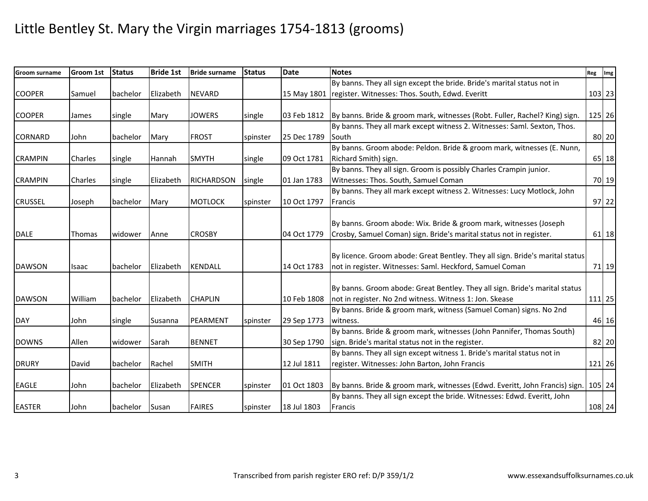| <b>Groom surname</b> | Groom 1st      | <b>Status</b> | <b>Bride 1st</b> | <b>Bride surname</b> | <b>Status</b> | <b>Date</b> | <b>Notes</b>                                                                       | Reg Img |        |
|----------------------|----------------|---------------|------------------|----------------------|---------------|-------------|------------------------------------------------------------------------------------|---------|--------|
|                      |                |               |                  |                      |               |             | By banns. They all sign except the bride. Bride's marital status not in            |         |        |
| <b>COOPER</b>        | Samuel         | bachelor      | Elizabeth        | <b>NEVARD</b>        |               | 15 May 1801 | register. Witnesses: Thos. South, Edwd. Everitt                                    |         | 103 23 |
|                      |                |               |                  |                      |               |             |                                                                                    |         |        |
| <b>COOPER</b>        | James          | single        | Mary             | <b>JOWERS</b>        | single        | 03 Feb 1812 | By banns. Bride & groom mark, witnesses (Robt. Fuller, Rachel? King) sign.         |         | 125 26 |
|                      |                |               |                  |                      |               |             | By banns. They all mark except witness 2. Witnesses: Saml. Sexton, Thos.           |         |        |
| <b>CORNARD</b>       | John           | bachelor      | Mary             | <b>FROST</b>         | spinster      | 25 Dec 1789 | South                                                                              |         | 80 20  |
|                      |                |               |                  |                      |               |             | By banns. Groom abode: Peldon. Bride & groom mark, witnesses (E. Nunn,             |         |        |
| <b>CRAMPIN</b>       | Charles        | single        | Hannah           | <b>SMYTH</b>         | single        | 09 Oct 1781 | Richard Smith) sign.                                                               |         | 65 18  |
|                      |                |               |                  |                      |               |             | By banns. They all sign. Groom is possibly Charles Crampin junior.                 |         |        |
| <b>CRAMPIN</b>       | <b>Charles</b> | single        | Elizabeth        | <b>RICHARDSON</b>    | single        | 01 Jan 1783 | Witnesses: Thos. South, Samuel Coman                                               |         | 70 19  |
|                      |                |               |                  |                      |               |             | By banns. They all mark except witness 2. Witnesses: Lucy Motlock, John            |         |        |
| <b>CRUSSEL</b>       | Joseph         | bachelor      | Mary             | <b>MOTLOCK</b>       | spinster      | 10 Oct 1797 | Francis                                                                            |         | 97 22  |
|                      |                |               |                  |                      |               |             |                                                                                    |         |        |
|                      |                |               |                  |                      |               |             | By banns. Groom abode: Wix. Bride & groom mark, witnesses (Joseph                  |         |        |
| <b>DALE</b>          | <b>Thomas</b>  | widower       | Anne             | <b>CROSBY</b>        |               | 04 Oct 1779 | Crosby, Samuel Coman) sign. Bride's marital status not in register.                |         | 61 18  |
|                      |                |               |                  |                      |               |             |                                                                                    |         |        |
|                      |                |               |                  |                      |               |             | By licence. Groom abode: Great Bentley. They all sign. Bride's marital status      |         |        |
| <b>DAWSON</b>        | Isaac          | bachelor      | Elizabeth        | <b>KENDALL</b>       |               | 14 Oct 1783 | not in register. Witnesses: Saml. Heckford, Samuel Coman                           |         | 71 19  |
|                      |                |               |                  |                      |               |             |                                                                                    |         |        |
|                      |                |               |                  |                      |               |             | By banns. Groom abode: Great Bentley. They all sign. Bride's marital status        |         |        |
| <b>DAWSON</b>        | William        | bachelor      | Elizabeth        | <b>CHAPLIN</b>       |               | 10 Feb 1808 | not in register. No 2nd witness. Witness 1: Jon. Skease                            |         | 111 25 |
|                      |                |               |                  |                      |               |             | By banns. Bride & groom mark, witness (Samuel Coman) signs. No 2nd                 |         |        |
| <b>DAY</b>           | John           | single        | Susanna          | PEARMENT             | spinster      | 29 Sep 1773 | witness.                                                                           |         | 46 16  |
|                      |                |               |                  |                      |               |             | By banns. Bride & groom mark, witnesses (John Pannifer, Thomas South)              |         |        |
| <b>DOWNS</b>         | Allen          | widower       | Sarah            | <b>BENNET</b>        |               | 30 Sep 1790 | sign. Bride's marital status not in the register.                                  |         | 82 20  |
|                      |                |               |                  |                      |               |             | By banns. They all sign except witness 1. Bride's marital status not in            |         |        |
| <b>DRURY</b>         | David          | bachelor      | Rachel           | <b>SMITH</b>         |               | 12 Jul 1811 | register. Witnesses: John Barton, John Francis                                     |         | 121 26 |
|                      |                |               |                  |                      |               |             |                                                                                    |         |        |
| EAGLE                | John           | bachelor      | Elizabeth        | <b>SPENCER</b>       | spinster      | 01 Oct 1803 | By banns. Bride & groom mark, witnesses (Edwd. Everitt, John Francis) sign. 105 24 |         |        |
|                      |                |               |                  |                      |               |             | By banns. They all sign except the bride. Witnesses: Edwd. Everitt, John           |         |        |
| <b>EASTER</b>        | John           | bachelor      | Susan            | <b>FAIRES</b>        | spinster      | 18 Jul 1803 | Francis                                                                            |         | 108 24 |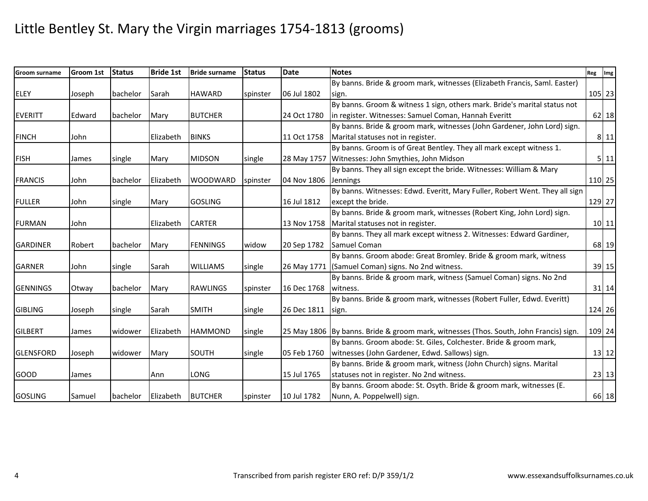| <b>Groom surname</b> | Groom 1st | <b>Status</b> | <b>Bride 1st</b> | <b>Bride surname</b> | <b>Status</b> | <b>Date</b> | <b>Notes</b>                                                                          | Reg Img |        |
|----------------------|-----------|---------------|------------------|----------------------|---------------|-------------|---------------------------------------------------------------------------------------|---------|--------|
|                      |           |               |                  |                      |               |             | By banns. Bride & groom mark, witnesses (Elizabeth Francis, Saml. Easter)             |         |        |
| <b>ELEY</b>          | Joseph    | bachelor      | Sarah            | <b>HAWARD</b>        | spinster      | 06 Jul 1802 | sign.                                                                                 |         | 105 23 |
|                      |           |               |                  |                      |               |             | By banns. Groom & witness 1 sign, others mark. Bride's marital status not             |         |        |
| <b>EVERITT</b>       | Edward    | bachelor      | Mary             | <b>BUTCHER</b>       |               | 24 Oct 1780 | in register. Witnesses: Samuel Coman, Hannah Everitt                                  |         | 62 18  |
|                      |           |               |                  |                      |               |             | By banns. Bride & groom mark, witnesses (John Gardener, John Lord) sign.              |         |        |
| <b>FINCH</b>         | John      |               | Elizabeth        | <b>BINKS</b>         |               | 11 Oct 1758 | Marital statuses not in register.                                                     |         | 8 11   |
|                      |           |               |                  |                      |               |             | By banns. Groom is of Great Bentley. They all mark except witness 1.                  |         |        |
| <b>FISH</b>          | James     | single        | Mary             | <b>MIDSON</b>        | single        |             | 28 May 1757 Witnesses: John Smythies, John Midson                                     |         | 5 11   |
|                      |           |               |                  |                      |               |             | By banns. They all sign except the bride. Witnesses: William & Mary                   |         |        |
| <b>FRANCIS</b>       | John      | bachelor      | Elizabeth        | <b>WOODWARD</b>      | spinster      | 04 Nov 1806 | <b>Jennings</b>                                                                       |         | 110 25 |
|                      |           |               |                  |                      |               |             | By banns. Witnesses: Edwd. Everitt, Mary Fuller, Robert Went. They all sign           |         |        |
| <b>FULLER</b>        | John      | single        | Mary             | <b>GOSLING</b>       |               | 16 Jul 1812 | except the bride.                                                                     |         | 129 27 |
|                      |           |               |                  |                      |               |             | By banns. Bride & groom mark, witnesses (Robert King, John Lord) sign.                |         |        |
| <b>FURMAN</b>        | John      |               | Elizabeth        | <b>CARTER</b>        |               | 13 Nov 1758 | Marital statuses not in register.                                                     |         | 10 11  |
|                      |           |               |                  |                      |               |             | By banns. They all mark except witness 2. Witnesses: Edward Gardiner,                 |         |        |
| <b>GARDINER</b>      | Robert    | bachelor      | Mary             | <b>FENNINGS</b>      | widow         | 20 Sep 1782 | Samuel Coman                                                                          |         | 68 19  |
|                      |           |               |                  |                      |               |             | By banns. Groom abode: Great Bromley. Bride & groom mark, witness                     |         |        |
| <b>GARNER</b>        | John      | single        | Sarah            | <b>WILLIAMS</b>      | single        |             | 26 May 1771 (Samuel Coman) signs. No 2nd witness.                                     |         | 39 15  |
|                      |           |               |                  |                      |               |             | By banns. Bride & groom mark, witness (Samuel Coman) signs. No 2nd                    |         |        |
| <b>GENNINGS</b>      | Otway     | bachelor      | Mary             | <b>RAWLINGS</b>      | spinster      | 16 Dec 1768 | witness.                                                                              |         | 31 14  |
|                      |           |               |                  |                      |               |             | By banns. Bride & groom mark, witnesses (Robert Fuller, Edwd. Everitt)                |         |        |
| <b>GIBLING</b>       | Joseph    | single        | Sarah            | <b>SMITH</b>         | single        | 26 Dec 1811 | sign.                                                                                 |         | 124 26 |
|                      |           |               |                  |                      |               |             |                                                                                       |         |        |
| <b>GILBERT</b>       | James     | widower       | Elizabeth        | <b>HAMMOND</b>       | single        |             | 25 May 1806 By banns. Bride & groom mark, witnesses (Thos. South, John Francis) sign. |         | 109 24 |
|                      |           |               |                  |                      |               |             | By banns. Groom abode: St. Giles, Colchester. Bride & groom mark,                     |         |        |
| <b>GLENSFORD</b>     | Joseph    | widower       | Mary             | SOUTH                | single        | 05 Feb 1760 | witnesses (John Gardener, Edwd. Sallows) sign.                                        |         | 13 12  |
|                      |           |               |                  |                      |               |             | By banns. Bride & groom mark, witness (John Church) signs. Marital                    |         |        |
| <b>GOOD</b>          | James     |               | Ann              | LONG                 |               | 15 Jul 1765 | statuses not in register. No 2nd witness.                                             |         | 23 13  |
|                      |           |               |                  |                      |               |             | By banns. Groom abode: St. Osyth. Bride & groom mark, witnesses (E.                   |         |        |
| <b>GOSLING</b>       | Samuel    | bachelor      | Elizabeth        | <b>BUTCHER</b>       | spinster      | 10 Jul 1782 | Nunn, A. Poppelwell) sign.                                                            |         | 66 18  |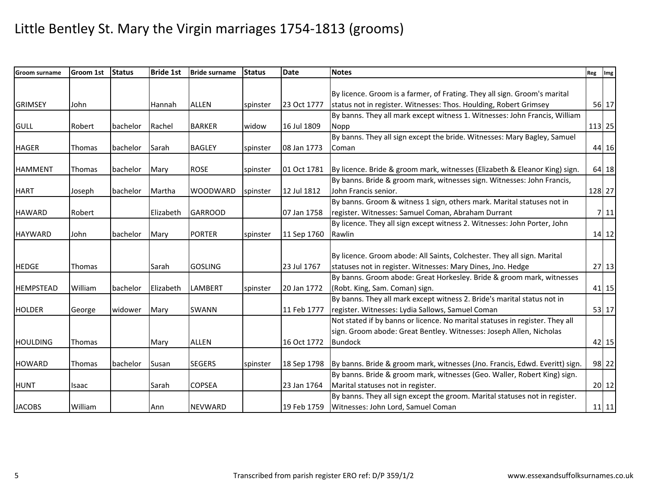| Groom surname    | <b>Groom 1st</b> | <b>Status</b> | <b>Bride 1st</b> | <b>Bride surname</b> | <b>Status</b> | <b>Date</b> | <b>Notes</b>                                                                 | Reg Img |        |
|------------------|------------------|---------------|------------------|----------------------|---------------|-------------|------------------------------------------------------------------------------|---------|--------|
|                  |                  |               |                  |                      |               |             |                                                                              |         |        |
|                  |                  |               |                  |                      |               |             | By licence. Groom is a farmer, of Frating. They all sign. Groom's marital    |         |        |
| <b>GRIMSEY</b>   | John             |               | Hannah           | <b>ALLEN</b>         | spinster      | 23 Oct 1777 | status not in register. Witnesses: Thos. Houlding, Robert Grimsey            |         | 56 17  |
|                  |                  |               |                  |                      |               |             | By banns. They all mark except witness 1. Witnesses: John Francis, William   |         |        |
| <b>GULL</b>      | Robert           | bachelor      | Rachel           | <b>BARKER</b>        | widow         | 16 Jul 1809 | Nopp                                                                         | 113 25  |        |
|                  |                  |               |                  |                      |               |             | By banns. They all sign except the bride. Witnesses: Mary Bagley, Samuel     |         |        |
| <b>HAGER</b>     | <b>Thomas</b>    | bachelor      | Sarah            | <b>BAGLEY</b>        | spinster      | 08 Jan 1773 | Coman                                                                        |         | 44 16  |
| <b>HAMMENT</b>   | Thomas           | bachelor      | Mary             | <b>ROSE</b>          | spinster      | 01 Oct 1781 | By licence. Bride & groom mark, witnesses (Elizabeth & Eleanor King) sign.   |         | 64 18  |
|                  |                  |               |                  |                      |               |             | By banns. Bride & groom mark, witnesses sign. Witnesses: John Francis,       |         |        |
| <b>HART</b>      |                  |               | Martha           |                      |               | 12 Jul 1812 | John Francis senior.                                                         |         | 128 27 |
|                  | Joseph           | bachelor      |                  | <b>WOODWARD</b>      | spinster      |             | By banns. Groom & witness 1 sign, others mark. Marital statuses not in       |         |        |
| <b>HAWARD</b>    |                  |               |                  |                      |               |             | register. Witnesses: Samuel Coman, Abraham Durrant                           |         |        |
|                  | Robert           |               | Elizabeth        | <b>GARROOD</b>       |               | 07 Jan 1758 |                                                                              |         | 7 11   |
|                  |                  |               |                  |                      |               |             | By licence. They all sign except witness 2. Witnesses: John Porter, John     |         |        |
| <b>HAYWARD</b>   | John             | bachelor      | Mary             | <b>PORTER</b>        | spinster      | 11 Sep 1760 | Rawlin                                                                       |         | 14 12  |
|                  |                  |               |                  |                      |               |             |                                                                              |         |        |
|                  |                  |               |                  |                      |               |             | By licence. Groom abode: All Saints, Colchester. They all sign. Marital      |         |        |
| <b>HEDGE</b>     | <b>Thomas</b>    |               | Sarah            | <b>GOSLING</b>       |               | 23 Jul 1767 | statuses not in register. Witnesses: Mary Dines, Jno. Hedge                  |         | 27 13  |
|                  |                  |               |                  |                      |               |             | By banns. Groom abode: Great Horkesley. Bride & groom mark, witnesses        |         |        |
| <b>HEMPSTEAD</b> | William          | bachelor      | Elizabeth        | LAMBERT              | spinster      | 20 Jan 1772 | (Robt. King, Sam. Coman) sign.                                               |         | 41 15  |
|                  |                  |               |                  |                      |               |             | By banns. They all mark except witness 2. Bride's marital status not in      |         |        |
| <b>HOLDER</b>    | George           | widower       | Mary             | <b>SWANN</b>         |               | 11 Feb 1777 | register. Witnesses: Lydia Sallows, Samuel Coman                             |         | 53 17  |
|                  |                  |               |                  |                      |               |             | Not stated if by banns or licence. No marital statuses in register. They all |         |        |
|                  |                  |               |                  |                      |               |             | sign. Groom abode: Great Bentley. Witnesses: Joseph Allen, Nicholas          |         |        |
| <b>HOULDING</b>  | Thomas           |               | Mary             | <b>ALLEN</b>         |               | 16 Oct 1772 | <b>Bundock</b>                                                               |         | 42 15  |
| <b>HOWARD</b>    | Thomas           | bachelor      | Susan            | <b>SEGERS</b>        | spinster      | 18 Sep 1798 | By banns. Bride & groom mark, witnesses (Jno. Francis, Edwd. Everitt) sign.  |         | 98 22  |
|                  |                  |               |                  |                      |               |             | By banns. Bride & groom mark, witnesses (Geo. Waller, Robert King) sign.     |         |        |
|                  |                  |               |                  |                      |               |             | Marital statuses not in register.                                            |         |        |
| <b>HUNT</b>      | Isaac            |               | Sarah            | <b>COPSEA</b>        |               | 23 Jan 1764 |                                                                              |         | 20 12  |
|                  |                  |               |                  |                      |               |             | By banns. They all sign except the groom. Marital statuses not in register.  |         |        |
| <b>JACOBS</b>    | William          |               | Ann              | <b>NEVWARD</b>       |               | 19 Feb 1759 | Witnesses: John Lord, Samuel Coman                                           |         | 11 11  |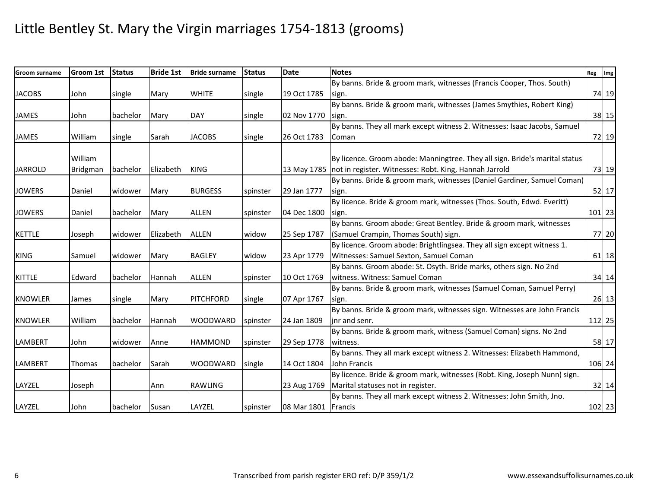| <b>Groom surname</b> | Groom 1st | <b>Status</b> | <b>Bride 1st</b> | <b>Bride surname</b> | <b>Status</b> | <b>Date</b>         | <b>Notes</b>                                                                | Reg Img |         |
|----------------------|-----------|---------------|------------------|----------------------|---------------|---------------------|-----------------------------------------------------------------------------|---------|---------|
|                      |           |               |                  |                      |               |                     | By banns. Bride & groom mark, witnesses (Francis Cooper, Thos. South)       |         |         |
| <b>JACOBS</b>        | John      | single        | Mary             | <b>WHITE</b>         | single        | 19 Oct 1785         | sign.                                                                       |         | 74 19   |
|                      |           |               |                  |                      |               |                     | By banns. Bride & groom mark, witnesses (James Smythies, Robert King)       |         |         |
| JAMES                | John      | bachelor      | Mary             | <b>DAY</b>           | single        | 02 Nov 1770         | sign.                                                                       |         | 38 15   |
|                      |           |               |                  |                      |               |                     | By banns. They all mark except witness 2. Witnesses: Isaac Jacobs, Samuel   |         |         |
| <b>JAMES</b>         | William   | single        | Sarah            | <b>JACOBS</b>        | single        | 26 Oct 1783         | <b>Coman</b>                                                                |         | 72 19   |
|                      | William   |               |                  |                      |               |                     | By licence. Groom abode: Manningtree. They all sign. Bride's marital status |         |         |
| <b>JARROLD</b>       | Bridgman  | bachelor      | Elizabeth        | <b>KING</b>          |               |                     | 13 May 1785   not in register. Witnesses: Robt. King, Hannah Jarrold        |         | 73 19   |
|                      |           |               |                  |                      |               |                     | By banns. Bride & groom mark, witnesses (Daniel Gardiner, Samuel Coman)     |         |         |
| <b>JOWERS</b>        | Daniel    | widower       | Mary             | <b>BURGESS</b>       | spinster      | 29 Jan 1777         | sign.                                                                       |         | 52 17   |
|                      |           |               |                  |                      |               |                     | By licence. Bride & groom mark, witnesses (Thos. South, Edwd. Everitt)      |         |         |
| <b>JOWERS</b>        | Daniel    | bachelor      | Mary             | <b>ALLEN</b>         | spinster      | 04 Dec 1800         | sign.                                                                       |         | 101 23  |
|                      |           |               |                  |                      |               |                     | By banns. Groom abode: Great Bentley. Bride & groom mark, witnesses         |         |         |
| <b>KETTLE</b>        | Joseph    | widower       | Elizabeth        | <b>ALLEN</b>         | widow         | 25 Sep 1787         | (Samuel Crampin, Thomas South) sign.                                        |         | 77 20   |
|                      |           |               |                  |                      |               |                     | By licence. Groom abode: Brightlingsea. They all sign except witness 1.     |         |         |
| <b>KING</b>          | Samuel    | widower       | Mary             | <b>BAGLEY</b>        | widow         | 23 Apr 1779         | Witnesses: Samuel Sexton, Samuel Coman                                      |         | 61 18   |
|                      |           |               |                  |                      |               |                     | By banns. Groom abode: St. Osyth. Bride marks, others sign. No 2nd          |         |         |
| <b>KITTLE</b>        | Edward    | bachelor      | Hannah           | <b>ALLEN</b>         | spinster      | 10 Oct 1769         | witness. Witness: Samuel Coman                                              |         | 34 14   |
|                      |           |               |                  |                      |               |                     | By banns. Bride & groom mark, witnesses (Samuel Coman, Samuel Perry)        |         |         |
| <b>KNOWLER</b>       | James     | single        | Mary             | <b>PITCHFORD</b>     | single        | 07 Apr 1767         | sign.                                                                       |         | $26$ 13 |
|                      |           |               |                  |                      |               |                     | By banns. Bride & groom mark, witnesses sign. Witnesses are John Francis    |         |         |
| <b>KNOWLER</b>       | William   | bachelor      | Hannah           | <b>WOODWARD</b>      | spinster      | 24 Jan 1809         | inr and senr.                                                               |         | 112 25  |
|                      |           |               |                  |                      |               |                     | By banns. Bride & groom mark, witness (Samuel Coman) signs. No 2nd          |         |         |
| <b>LAMBERT</b>       | John      | widower       | Anne             | <b>HAMMOND</b>       | spinster      | 29 Sep 1778         | witness.                                                                    |         | 58 17   |
|                      |           |               |                  |                      |               |                     | By banns. They all mark except witness 2. Witnesses: Elizabeth Hammond,     |         |         |
| LAMBERT              | Thomas    | bachelor      | Sarah            | <b>WOODWARD</b>      | single        | 14 Oct 1804         | John Francis                                                                |         | 106 24  |
|                      |           |               |                  |                      |               |                     | By licence. Bride & groom mark, witnesses (Robt. King, Joseph Nunn) sign.   |         |         |
| LAYZEL               | Joseph    |               | Ann              | <b>RAWLING</b>       |               | 23 Aug 1769         | Marital statuses not in register.                                           |         | 32 14   |
|                      |           |               |                  |                      |               |                     | By banns. They all mark except witness 2. Witnesses: John Smith, Jno.       |         |         |
| LAYZEL               | John      | bachelor      | Susan            | LAYZEL               | spinster      | 08 Mar 1801 Francis |                                                                             |         | 102 23  |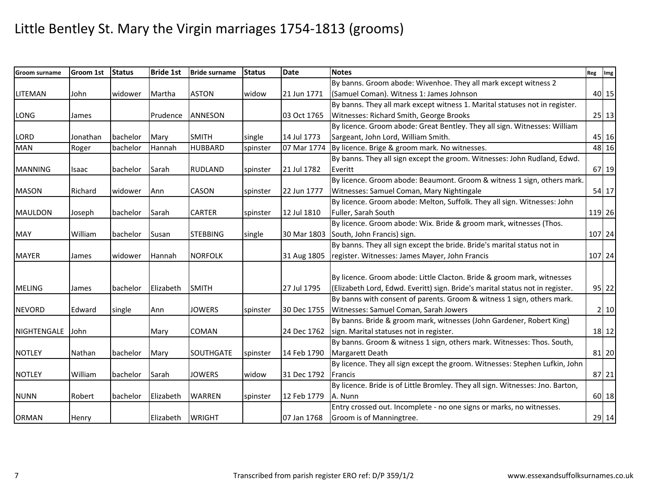| Groom surname  | Groom 1st     | <b>Status</b> | <b>Bride 1st</b> | <b>Bride surname</b> | <b>Status</b> | <b>Date</b> | <b>Notes</b>                                                                   | Reg Img |             |
|----------------|---------------|---------------|------------------|----------------------|---------------|-------------|--------------------------------------------------------------------------------|---------|-------------|
|                |               |               |                  |                      |               |             | By banns. Groom abode: Wivenhoe. They all mark except witness 2                |         |             |
| LITEMAN        | John          | widower       | Martha           | <b>ASTON</b>         | widow         | 21 Jun 1771 | (Samuel Coman). Witness 1: James Johnson                                       |         | 40 15       |
|                |               |               |                  |                      |               |             | By banns. They all mark except witness 1. Marital statuses not in register.    |         |             |
| LONG           | James         |               | Prudence         | <b>ANNESON</b>       |               | 03 Oct 1765 | Witnesses: Richard Smith, George Brooks                                        |         | 25 13       |
|                |               |               |                  |                      |               |             | By licence. Groom abode: Great Bentley. They all sign. Witnesses: William      |         |             |
| <b>LORD</b>    | Jonathan      | bachelor      | Mary             | <b>SMITH</b>         | single        | 14 Jul 1773 | Sargeant, John Lord, William Smith.                                            |         | 45 16       |
| <b>MAN</b>     | Roger         | bachelor      | Hannah           | <b>HUBBARD</b>       | spinster      | 07 Mar 1774 | By licence. Brige & groom mark. No witnesses.                                  |         | 48 16       |
|                |               |               |                  |                      |               |             | By banns. They all sign except the groom. Witnesses: John Rudland, Edwd.       |         |             |
| <b>MANNING</b> | Isaac         | bachelor      | Sarah            | <b>RUDLAND</b>       | spinster      | 21 Jul 1782 | Everitt                                                                        |         | 67 19       |
|                |               |               |                  |                      |               |             | By licence. Groom abode: Beaumont. Groom & witness 1 sign, others mark.        |         |             |
| <b>MASON</b>   | Richard       | widower       | Ann              | CASON                | spinster      | 22 Jun 1777 | Witnesses: Samuel Coman, Mary Nightingale                                      |         | 54 17       |
|                |               |               |                  |                      |               |             | By licence. Groom abode: Melton, Suffolk. They all sign. Witnesses: John       |         |             |
| MAULDON        | Joseph        | bachelor      | Sarah            | <b>CARTER</b>        | spinster      | 12 Jul 1810 | Fuller, Sarah South                                                            |         | 119 26      |
|                |               |               |                  |                      |               |             | By licence. Groom abode: Wix. Bride & groom mark, witnesses (Thos.             |         |             |
| <b>MAY</b>     | William       | bachelor      | Susan            | <b>STEBBING</b>      | single        | 30 Mar 1803 | South, John Francis) sign.                                                     |         | 107 24      |
|                |               |               |                  |                      |               |             | By banns. They all sign except the bride. Bride's marital status not in        |         |             |
| <b>MAYER</b>   | James         | widower       | Hannah           | <b>NORFOLK</b>       |               | 31 Aug 1805 | register. Witnesses: James Mayer, John Francis                                 |         | 107 24      |
|                |               |               |                  |                      |               |             |                                                                                |         |             |
|                |               |               |                  |                      |               |             | By licence. Groom abode: Little Clacton. Bride & groom mark, witnesses         |         |             |
| <b>MELING</b>  | James         | bachelor      | Elizabeth        | <b>SMITH</b>         |               | 27 Jul 1795 | (Elizabeth Lord, Edwd. Everitt) sign. Bride's marital status not in register.  |         | 95 22       |
|                |               |               |                  |                      |               |             | By banns with consent of parents. Groom & witness 1 sign, others mark.         |         |             |
| <b>NEVORD</b>  | Edward        | single        | Ann              | <b>JOWERS</b>        | spinster      | 30 Dec 1755 | Witnesses: Samuel Coman, Sarah Jowers                                          |         | $2 \mid 10$ |
|                |               |               |                  |                      |               |             | By banns. Bride & groom mark, witnesses (John Gardener, Robert King)           |         |             |
| NIGHTENGALE    | John          |               | Mary             | COMAN                |               | 24 Dec 1762 | sign. Marital statuses not in register.                                        |         | 18 12       |
|                |               |               |                  |                      |               |             | By banns. Groom & witness 1 sign, others mark. Witnesses: Thos. South,         |         |             |
| <b>NOTLEY</b>  | <b>Nathan</b> | bachelor      | Mary             | <b>SOUTHGATE</b>     | spinster      | 14 Feb 1790 | <b>Margarett Death</b>                                                         |         | 81 20       |
|                |               |               |                  |                      |               |             | By licence. They all sign except the groom. Witnesses: Stephen Lufkin, John    |         |             |
| <b>NOTLEY</b>  | William       | bachelor      | Sarah            | <b>JOWERS</b>        | widow         | 31 Dec 1792 | Francis                                                                        |         | 87 21       |
|                |               |               |                  |                      |               |             | By licence. Bride is of Little Bromley. They all sign. Witnesses: Jno. Barton, |         |             |
| <b>NUNN</b>    | Robert        | bachelor      | Elizabeth        | <b>WARREN</b>        | spinster      | 12 Feb 1779 | A. Nunn                                                                        |         | 60 18       |
|                |               |               |                  |                      |               |             | Entry crossed out. Incomplete - no one signs or marks, no witnesses.           |         |             |
| <b>ORMAN</b>   | Henry         |               | Elizabeth        | <b>WRIGHT</b>        |               | 07 Jan 1768 | Groom is of Manningtree.                                                       |         | 29 14       |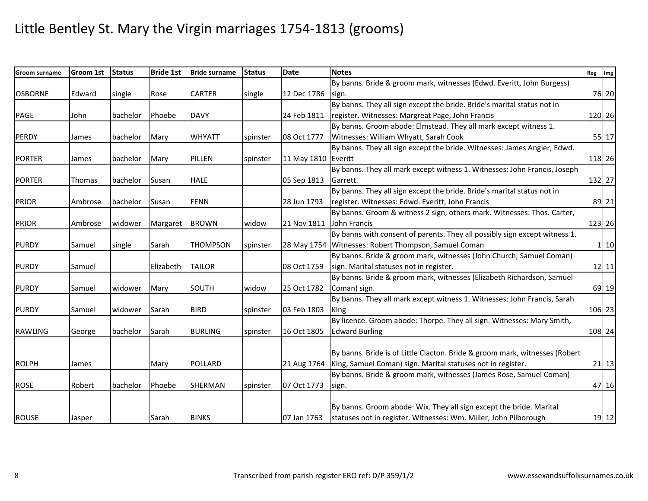| <b>Groom surname</b> | <b>Groom 1st</b> | <b>Status</b> | <b>Bride 1st</b> | <b>Bride surname</b> | <b>Status</b> | <b>Date</b>         | <b>Notes</b>                                                                | Reg Img      |
|----------------------|------------------|---------------|------------------|----------------------|---------------|---------------------|-----------------------------------------------------------------------------|--------------|
|                      |                  |               |                  |                      |               |                     | By banns. Bride & groom mark, witnesses (Edwd. Everitt, John Burgess)       |              |
| <b>OSBORNE</b>       | Edward           | single        | Rose             | <b>CARTER</b>        | single        | 12 Dec 1786         | sign.                                                                       | 76 20        |
|                      |                  |               |                  |                      |               |                     | By banns. They all sign except the bride. Bride's marital status not in     |              |
| PAGE                 | John             | bachelor      | Phoebe           | <b>DAVY</b>          |               | 24 Feb 1811         | register. Witnesses: Margreat Page, John Francis                            | 120 26       |
|                      |                  |               |                  |                      |               |                     | By banns. Groom abode: Elmstead. They all mark except witness 1.            |              |
| <b>PERDY</b>         | James            | bachelor      | Mary             | <b>WHYATT</b>        | spinster      | 08 Oct 1777         | Witnesses: William Whyatt, Sarah Cook                                       | 55 17        |
|                      |                  |               |                  |                      |               |                     | By banns. They all sign except the bride. Witnesses: James Angier, Edwd.    |              |
| <b>PORTER</b>        | James            | bachelor      | Mary             | PILLEN               | spinster      | 11 May 1810 Everitt |                                                                             | 118 26       |
|                      |                  |               |                  |                      |               |                     | By banns. They all mark except witness 1. Witnesses: John Francis, Joseph   |              |
| <b>PORTER</b>        | Thomas           | bachelor      | Susan            | <b>HALE</b>          |               | 05 Sep 1813         | Garrett.                                                                    | 132 27       |
|                      |                  |               |                  |                      |               |                     | By banns. They all sign except the bride. Bride's marital status not in     |              |
| <b>PRIOR</b>         | Ambrose          | bachelor      | Susan            | <b>FENN</b>          |               | 28 Jun 1793         | register. Witnesses: Edwd. Everitt, John Francis                            | 89 21        |
|                      |                  |               |                  |                      |               |                     | By banns. Groom & witness 2 sign, others mark. Witnesses: Thos. Carter,     |              |
| <b>PRIOR</b>         | Ambrose          | widower       | Margaret         | <b>BROWN</b>         | widow         | 21 Nov 1811         | John Francis                                                                | 123 26       |
|                      |                  |               |                  |                      |               |                     | By banns with consent of parents. They all possibly sign except witness 1.  |              |
| <b>PURDY</b>         | Samuel           | single        | Sarah            | <b>THOMPSON</b>      | spinster      |                     | 28 May 1754 Witnesses: Robert Thompson, Samuel Coman                        | $1 \vert 10$ |
|                      |                  |               |                  |                      |               |                     | By banns. Bride & groom mark, witnesses (John Church, Samuel Coman)         |              |
| <b>PURDY</b>         | Samuel           |               | Elizabeth        | <b>TAILOR</b>        |               | 08 Oct 1759         | sign. Marital statuses not in register.                                     | $12$   11    |
|                      |                  |               |                  |                      |               |                     | By banns. Bride & groom mark, witnesses (Elizabeth Richardson, Samuel       |              |
| <b>PURDY</b>         | Samuel           | widower       | Mary             | SOUTH                | widow         | 25 Oct 1782         | Coman) sign.                                                                | 69 19        |
|                      |                  |               |                  |                      |               |                     | By banns. They all mark except witness 1. Witnesses: John Francis, Sarah    |              |
| <b>PURDY</b>         | Samuel           | widower       | Sarah            | <b>BIRD</b>          | spinster      | 03 Feb 1803         | King                                                                        | 106 23       |
|                      |                  |               |                  |                      |               |                     | By licence. Groom abode: Thorpe. They all sign. Witnesses: Mary Smith,      |              |
| <b>RAWLING</b>       | George           | bachelor      | Sarah            | <b>BURLING</b>       | spinster      | 16 Oct 1805         | <b>Edward Burling</b>                                                       | 108 24       |
|                      |                  |               |                  |                      |               |                     |                                                                             |              |
|                      |                  |               |                  |                      |               |                     | By banns. Bride is of Little Clacton. Bride & groom mark, witnesses (Robert |              |
| <b>ROLPH</b>         | James            |               | Mary             | POLLARD              |               | 21 Aug 1764         | King, Samuel Coman) sign. Marital statuses not in register.                 | $21$ 13      |
|                      |                  |               |                  |                      |               |                     | By banns. Bride & groom mark, witnesses (James Rose, Samuel Coman)          |              |
| <b>ROSE</b>          | Robert           | bachelor      | Phoebe           | SHERMAN              | spinster      | 07 Oct 1773         | sign.                                                                       | 47 16        |
|                      |                  |               |                  |                      |               |                     |                                                                             |              |
|                      |                  |               |                  |                      |               |                     | By banns. Groom abode: Wix. They all sign except the bride. Marital         |              |
| <b>ROUSE</b>         | Jasper           |               | Sarah            | <b>BINKS</b>         |               | 07 Jan 1763         | statuses not in register. Witnesses: Wm. Miller, John Pilborough            | 19 12        |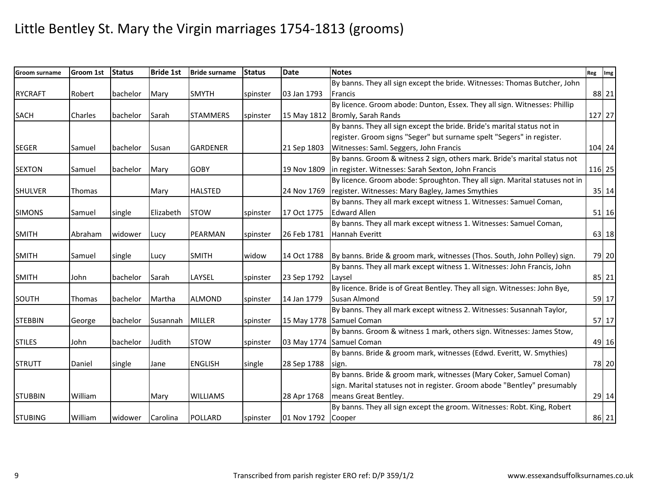| <b>Groom surname</b> | Groom 1st     | <b>Status</b> | <b>Bride 1st</b> | <b>Bride surname</b> | <b>Status</b> | <b>Date</b>        | <b>Notes</b>                                                                | Reg Img |
|----------------------|---------------|---------------|------------------|----------------------|---------------|--------------------|-----------------------------------------------------------------------------|---------|
|                      |               |               |                  |                      |               |                    | By banns. They all sign except the bride. Witnesses: Thomas Butcher, John   |         |
| <b>RYCRAFT</b>       | Robert        | bachelor      | Mary             | <b>SMYTH</b>         | spinster      | 03 Jan 1793        | <b>Francis</b>                                                              | 88 21   |
|                      |               |               |                  |                      |               |                    | By licence. Groom abode: Dunton, Essex. They all sign. Witnesses: Phillip   |         |
| <b>SACH</b>          | Charles       | bachelor      | Sarah            | <b>STAMMERS</b>      | spinster      |                    | 15 May 1812 Bromly, Sarah Rands                                             | 127 27  |
|                      |               |               |                  |                      |               |                    | By banns. They all sign except the bride. Bride's marital status not in     |         |
|                      |               |               |                  |                      |               |                    | register. Groom signs "Seger" but surname spelt "Segers" in register.       |         |
| <b>SEGER</b>         | Samuel        | bachelor      | Susan            | <b>GARDENER</b>      |               | 21 Sep 1803        | Witnesses: Saml. Seggers, John Francis                                      | 104 24  |
|                      |               |               |                  |                      |               |                    | By banns. Groom & witness 2 sign, others mark. Bride's marital status not   |         |
| <b>SEXTON</b>        | Samuel        | bachelor      | Mary             | <b>GOBY</b>          |               | 19 Nov 1809        | in register. Witnesses: Sarah Sexton, John Francis                          | 116 25  |
|                      |               |               |                  |                      |               |                    | By licence. Groom abode: Sproughton. They all sign. Marital statuses not in |         |
| <b>SHULVER</b>       | Thomas        |               | Mary             | <b>HALSTED</b>       |               | 24 Nov 1769        | register. Witnesses: Mary Bagley, James Smythies                            | 35 14   |
|                      |               |               |                  |                      |               |                    | By banns. They all mark except witness 1. Witnesses: Samuel Coman,          |         |
| <b>SIMONS</b>        | Samuel        | single        | Elizabeth        | <b>STOW</b>          | spinster      | 17 Oct 1775        | <b>Edward Allen</b>                                                         | $51$ 16 |
|                      |               |               |                  |                      |               |                    | By banns. They all mark except witness 1. Witnesses: Samuel Coman,          |         |
| <b>SMITH</b>         | Abraham       | widower       | Lucy             | <b>PEARMAN</b>       | spinster      | 26 Feb 1781        | Hannah Everitt                                                              | 63 18   |
|                      |               |               |                  |                      |               |                    |                                                                             |         |
| <b>SMITH</b>         | Samuel        | single        | Lucy             | <b>SMITH</b>         | widow         | 14 Oct 1788        | By banns. Bride & groom mark, witnesses (Thos. South, John Polley) sign.    | 79 20   |
|                      |               |               |                  |                      |               |                    | By banns. They all mark except witness 1. Witnesses: John Francis, John     |         |
| <b>SMITH</b>         | John          | bachelor      | Sarah            | LAYSEL               | spinster      | 23 Sep 1792        | Laysel                                                                      | 85 21   |
|                      |               |               |                  |                      |               |                    | By licence. Bride is of Great Bentley. They all sign. Witnesses: John Bye,  |         |
| <b>SOUTH</b>         | <b>Thomas</b> | bachelor      | Martha           | <b>ALMOND</b>        | spinster      | 14 Jan 1779        | Susan Almond                                                                | 59 17   |
|                      |               |               |                  |                      |               |                    | By banns. They all mark except witness 2. Witnesses: Susannah Taylor,       |         |
| <b>STEBBIN</b>       | George        | bachelor      | Susannah         | <b>MILLER</b>        | spinster      |                    | 15 May 1778 Samuel Coman                                                    | 57 17   |
|                      |               |               |                  |                      |               |                    | By banns. Groom & witness 1 mark, others sign. Witnesses: James Stow,       |         |
| <b>STILES</b>        | John          | bachelor      | Judith           | <b>STOW</b>          | spinster      |                    | 03 May 1774 Samuel Coman                                                    | 49 16   |
|                      |               |               |                  |                      |               |                    | By banns. Bride & groom mark, witnesses (Edwd. Everitt, W. Smythies)        |         |
| <b>STRUTT</b>        | Daniel        | single        | Jane             | <b>ENGLISH</b>       | single        | 28 Sep 1788        | sign.                                                                       | 78 20   |
|                      |               |               |                  |                      |               |                    | By banns. Bride & groom mark, witnesses (Mary Coker, Samuel Coman)          |         |
|                      |               |               |                  |                      |               |                    | sign. Marital statuses not in register. Groom abode "Bentley" presumably    |         |
| <b>STUBBIN</b>       | William       |               | Mary             | <b>WILLIAMS</b>      |               | 28 Apr 1768        | means Great Bentley.                                                        | 29 14   |
|                      |               |               |                  |                      |               |                    | By banns. They all sign except the groom. Witnesses: Robt. King, Robert     |         |
| <b>STUBING</b>       | William       | widower       | Carolina         | <b>POLLARD</b>       | spinster      | 01 Nov 1792 Cooper |                                                                             | 86 21   |